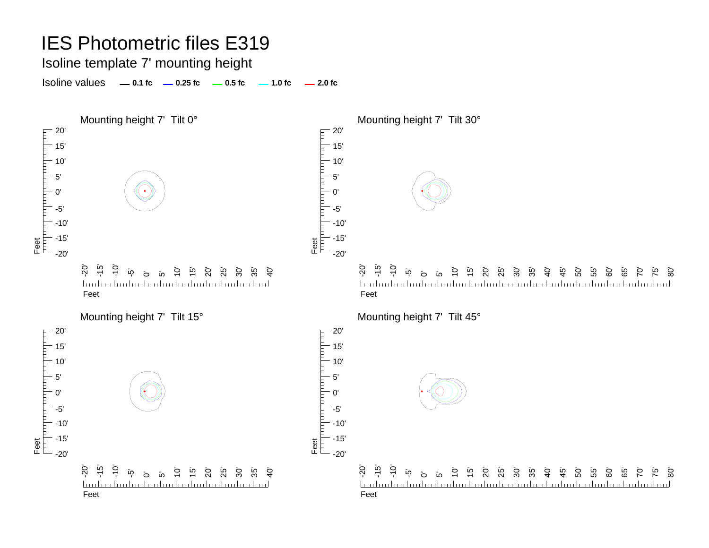Isoline template 7' mounting height

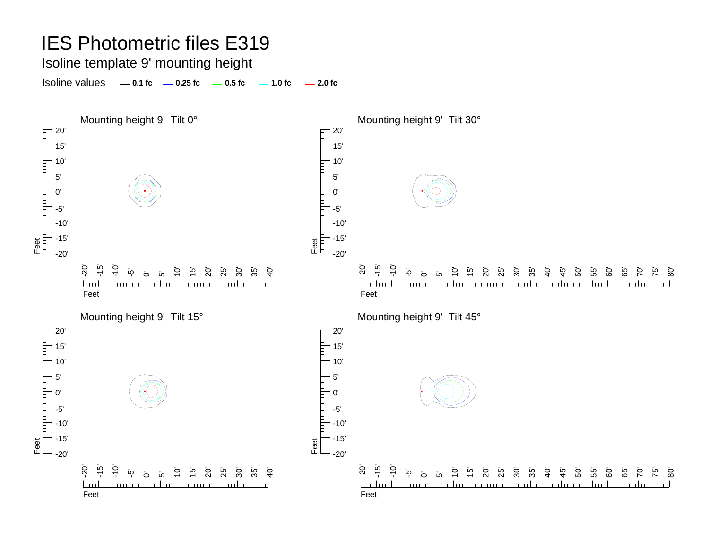#### Isoline template 9' mounting height

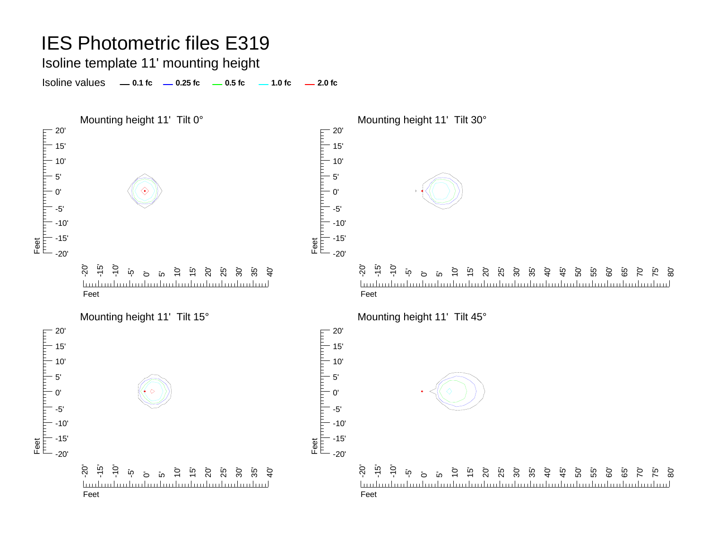Isoline template 11' mounting height

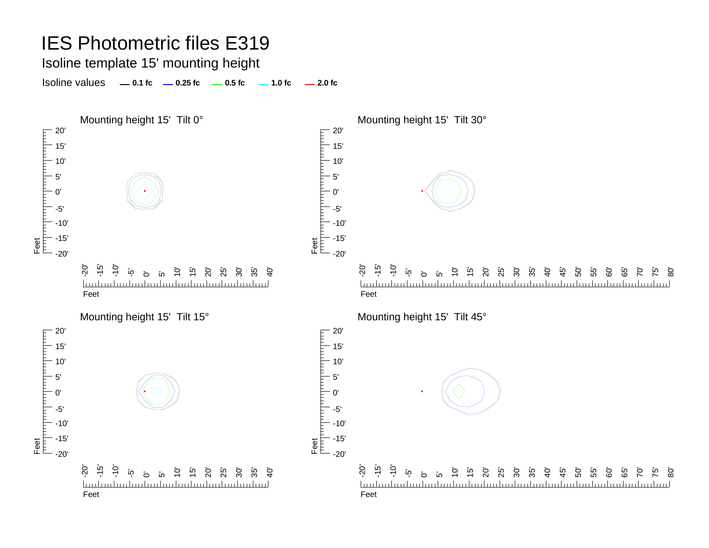### Isoline template 15' mounting height

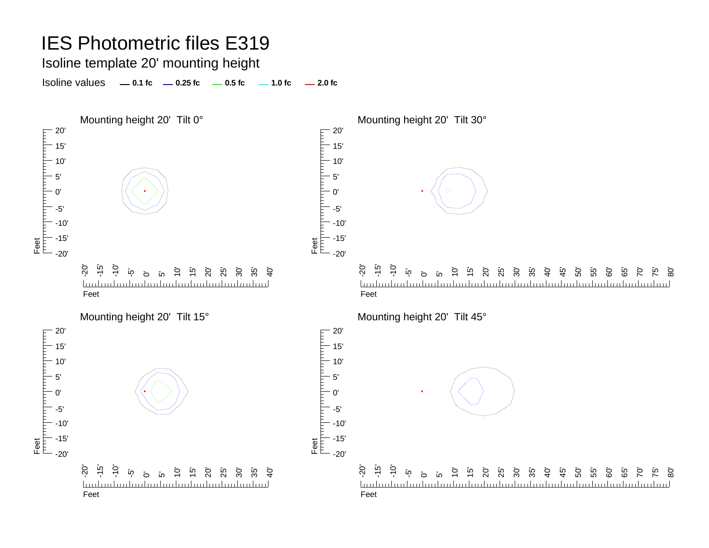### Isoline template 20' mounting height

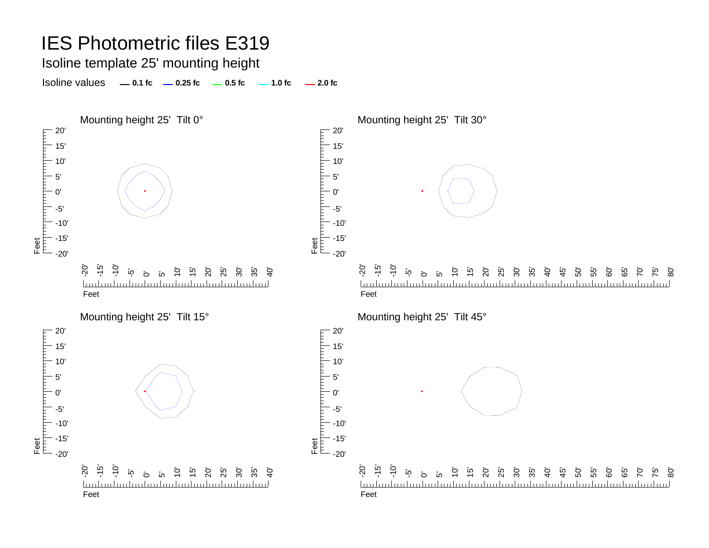Isoline template 25' mounting height